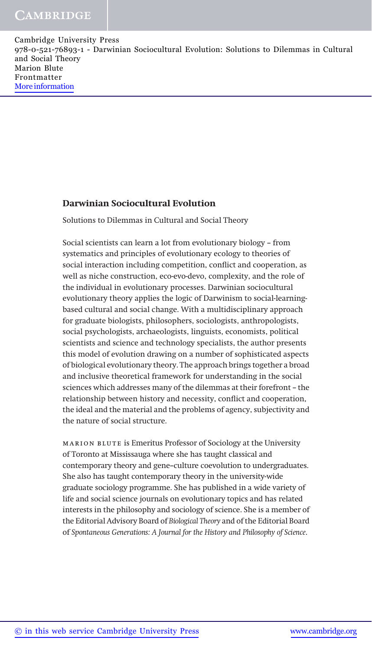#### Darwinian Sociocultural Evolution

Solutions to Dilemmas in Cultural and Social Theory

Social scientists can learn a lot from evolutionary biology - from systematics and principles of evolutionary ecology to theories of social interaction including competition, conflict and cooperation, as well as niche construction, eco-evo-devo, complexity, and the role of the individual in evolutionary processes. Darwinian sociocultural evolutionary theory applies the logic of Darwinism to social-learningbased cultural and social change. With a multidisciplinary approach for graduate biologists, philosophers, sociologists, anthropologists, social psychologists, archaeologists, linguists, economists, political scientists and science and technology specialists, the author presents this model of evolution drawing on a number of sophisticated aspects of biological evolutionary theory. The approach brings together a broad and inclusive theoretical framework for understanding in the social sciences which addresses many of the dilemmas at their forefront - the relationship between history and necessity, conflict and cooperation, the ideal and the material and the problems of agency, subjectivity and the nature of social structure.

marion blute is Emeritus Professor of Sociology at the University of Toronto at Mississauga where she has taught classical and contemporary theory and gene-culture coevolution to undergraduates. She also has taught contemporary theory in the university-wide graduate sociology programme. She has published in a wide variety of life and social science journals on evolutionary topics and has related interests in the philosophy and sociology of science. She is a member of the Editorial Advisory Board of Biological Theory and of the Editorial Board of Spontaneous Generations: A Journal for the History and Philosophy of Science.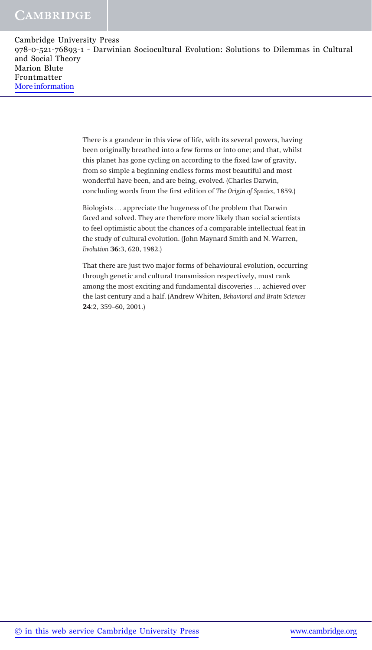> There is a grandeur in this view of life, with its several powers, having been originally breathed into a few forms or into one; and that, whilst this planet has gone cycling on according to the fixed law of gravity, from so simple a beginning endless forms most beautiful and most wonderful have been, and are being, evolved. (Charles Darwin, concluding words from the first edition of The Origin of Species, 1859.)

Biologists … appreciate the hugeness of the problem that Darwin faced and solved. They are therefore more likely than social scientists to feel optimistic about the chances of a comparable intellectual feat in the study of cultural evolution. (John Maynard Smith and N. Warren, Evolution 36:3, 620, 1982.)

That there are just two major forms of behavioural evolution, occurring through genetic and cultural transmission respectively, must rank among the most exciting and fundamental discoveries … achieved over the last century and a half. (Andrew Whiten, Behavioral and Brain Sciences 24:2, 359-60, 2001.)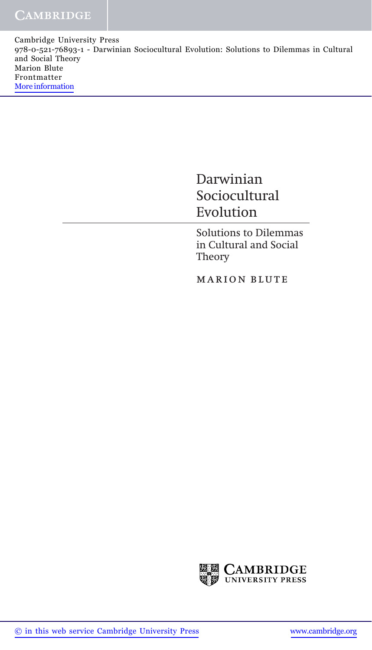# Darwinian Sociocultural Evolution

Solutions to Dilemmas in Cultural and Social Theory

marion blute

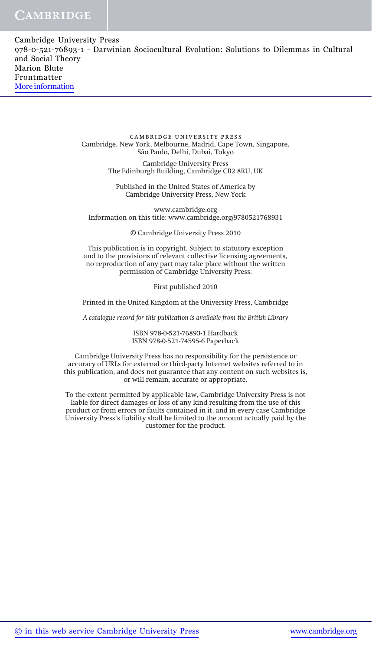| Cambridge University Press                                                               |
|------------------------------------------------------------------------------------------|
| 978-0-521-76893-1 - Darwinian Sociocultural Evolution: Solutions to Dilemmas in Cultural |
| and Social Theory                                                                        |
| Marion Blute                                                                             |
| Frontmatter                                                                              |
| More information                                                                         |
|                                                                                          |

cambridge university press Cambridge, New York, Melbourne, Madrid, Cape Town, Singapore, São Paulo, Delhi, Dubai, Tokyo Cambridge University Press The Edinburgh Building, Cambridge CB2 8RU, UK

> Published in the United States of America by Cambridge University Press, New York

www.cambridge.org Information on this title: www.cambridge.org/9780521768931

© Cambridge University Press 2010

This publication is in copyright. Subject to statutory exception and to the provisions of relevant collective licensing agreements, no reproduction of any part may take place without the written permission of Cambridge University Press.

First published 2010

Printed in the United Kingdom at the University Press, Cambridge

A catalogue record for this publication is available from the British Library

ISBN 978-0-521-76893-1 Hardback ISBN 978-0-521-74595-6 Paperback

Cambridge University Press has no responsibility for the persistence or accuracy of URLs for external or third-party Internet websites referred to in this publication, and does not guarantee that any content on such websites is, or will remain, accurate or appropriate.

To the extent permitted by applicable law, Cambridge University Press is not liable for direct damages or loss of any kind resulting from the use of this product or from errors or faults contained in it, and in every case Cambridge University Press's liability shall be limited to the amount actually paid by the customer for the product.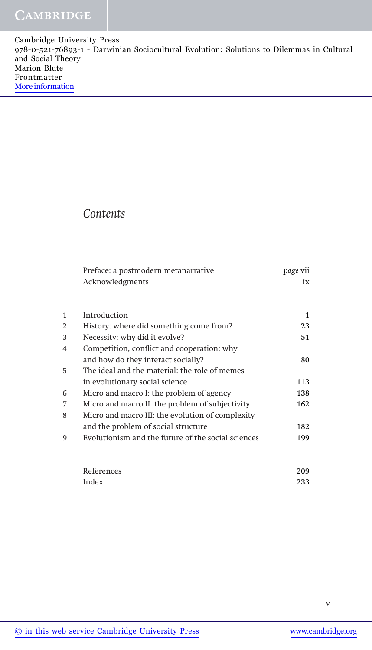## Contents

|   | Preface: a postmodern metanarrative                | page vii |
|---|----------------------------------------------------|----------|
|   | Acknowledgments                                    | ix       |
|   |                                                    |          |
|   |                                                    |          |
| 1 | Introduction                                       | 1        |
| 2 | History: where did something come from?            | 23       |
| 3 | Necessity: why did it evolve?                      | 51       |
| 4 | Competition, conflict and cooperation: why         |          |
|   | and how do they interact socially?                 | 80       |
| 5 | The ideal and the material: the role of memes      |          |
|   | in evolutionary social science                     | 113      |
| 6 | Micro and macro I: the problem of agency           | 138      |
| 7 | Micro and macro II: the problem of subjectivity    | 162      |
| 8 | Micro and macro III: the evolution of complexity   |          |
|   | and the problem of social structure                | 182      |
| 9 | Evolutionism and the future of the social sciences | 199      |
|   |                                                    |          |
|   | References                                         | 209      |

Index 233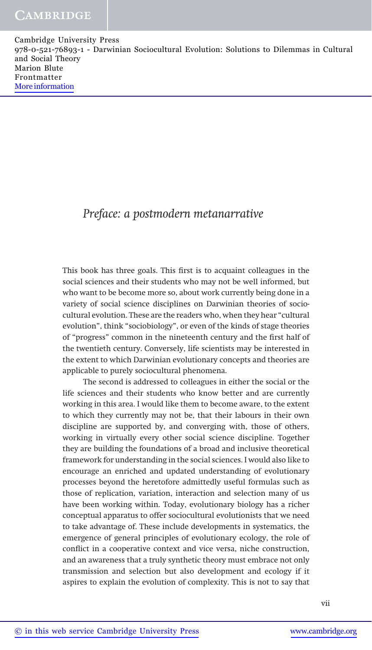### Preface: a postmodern metanarrative

This book has three goals. This first is to acquaint colleagues in the social sciences and their students who may not be well informed, but who want to be become more so, about work currently being done in a variety of social science disciplines on Darwinian theories of sociocultural evolution. These are the readers who, when they hear "cultural evolution", think "sociobiology", or even of the kinds of stage theories of "progress" common in the nineteenth century and the first half of the twentieth century. Conversely, life scientists may be interested in the extent to which Darwinian evolutionary concepts and theories are applicable to purely sociocultural phenomena.

The second is addressed to colleagues in either the social or the life sciences and their students who know better and are currently working in this area. I would like them to become aware, to the extent to which they currently may not be, that their labours in their own discipline are supported by, and converging with, those of others, working in virtually every other social science discipline. Together they are building the foundations of a broad and inclusive theoretical framework for understanding in the social sciences. I would also like to encourage an enriched and updated understanding of evolutionary processes beyond the heretofore admittedly useful formulas such as those of replication, variation, interaction and selection many of us have been working within. Today, evolutionary biology has a richer conceptual apparatus to offer sociocultural evolutionists that we need to take advantage of. These include developments in systematics, the emergence of general principles of evolutionary ecology, the role of conflict in a cooperative context and vice versa, niche construction, and an awareness that a truly synthetic theory must embrace not only transmission and selection but also development and ecology if it aspires to explain the evolution of complexity. This is not to say that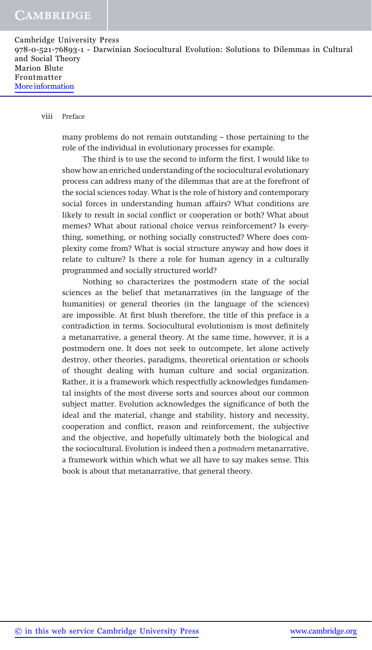#### viii Preface

many problems do not remain outstanding - those pertaining to the role of the individual in evolutionary processes for example.

The third is to use the second to inform the first. I would like to show how an enriched understanding of the sociocultural evolutionary process can address many of the dilemmas that are at the forefront of the social sciences today. What is the role of history and contemporary social forces in understanding human affairs? What conditions are likely to result in social conflict or cooperation or both? What about memes? What about rational choice versus reinforcement? Is everything, something, or nothing socially constructed? Where does complexity come from? What is social structure anyway and how does it relate to culture? Is there a role for human agency in a culturally programmed and socially structured world?

Nothing so characterizes the postmodern state of the social sciences as the belief that metanarratives (in the language of the humanities) or general theories (in the language of the sciences) are impossible. At first blush therefore, the title of this preface is a contradiction in terms. Sociocultural evolutionism is most definitely a metanarrative, a general theory. At the same time, however, it is a postmodern one. It does not seek to outcompete, let alone actively destroy, other theories, paradigms, theoretical orientation or schools of thought dealing with human culture and social organization. Rather, it is a framework which respectfully acknowledges fundamental insights of the most diverse sorts and sources about our common subject matter. Evolution acknowledges the significance of both the ideal and the material, change and stability, history and necessity, cooperation and conflict, reason and reinforcement, the subjective and the objective, and hopefully ultimately both the biological and the sociocultural. Evolution is indeed then a postmodern metanarrative, a framework within which what we all have to say makes sense. This book is about that metanarrative, that general theory.